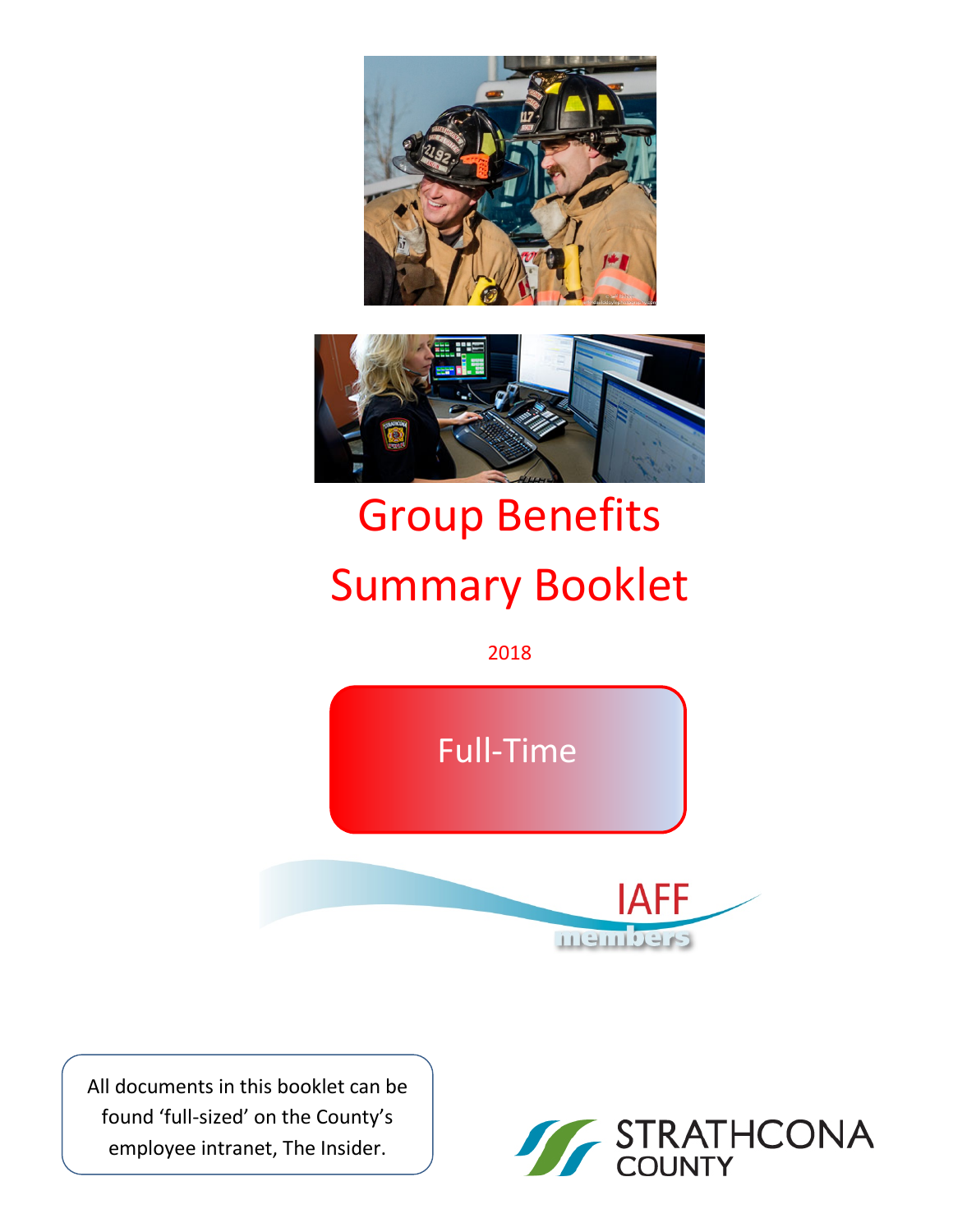



# Group Benefits Summary Booklet

2018



All documents in this booklet can be found 'full-sized' on the County's employee intranet, The Insider.

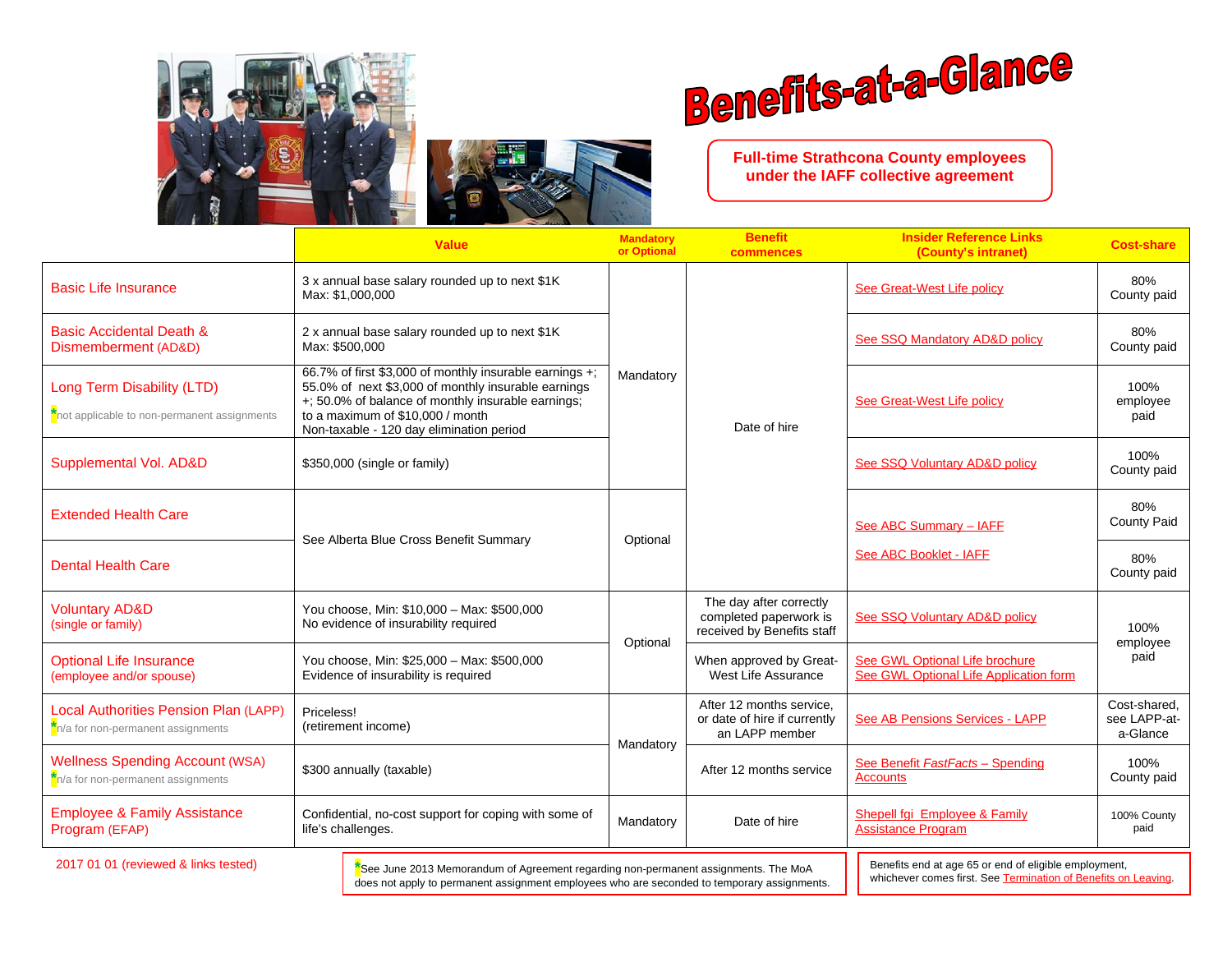



**Full-time Strathcona County employees under the IAFF collective agreement**

|                                                                                                                                                                                                                            | <b>Value</b>                                                                                                                                                                                                                                         | <b>Mandatory</b><br>or Optional | <b>Benefit</b><br>commences                                                                                             | <b>Insider Reference Links</b><br>(County's intranet)                    | <b>Cost-share</b>                        |
|----------------------------------------------------------------------------------------------------------------------------------------------------------------------------------------------------------------------------|------------------------------------------------------------------------------------------------------------------------------------------------------------------------------------------------------------------------------------------------------|---------------------------------|-------------------------------------------------------------------------------------------------------------------------|--------------------------------------------------------------------------|------------------------------------------|
| <b>Basic Life Insurance</b>                                                                                                                                                                                                | 3 x annual base salary rounded up to next \$1K<br>Max: \$1,000,000                                                                                                                                                                                   |                                 |                                                                                                                         | See Great-West Life policy                                               | 80%<br>County paid                       |
| <b>Basic Accidental Death &amp;</b><br>Dismemberment (AD&D)                                                                                                                                                                | 2 x annual base salary rounded up to next \$1K<br>Max: \$500,000                                                                                                                                                                                     | Mandatory                       |                                                                                                                         | See SSQ Mandatory AD&D policy                                            | 80%<br>County paid                       |
| <b>Long Term Disability (LTD)</b><br>not applicable to non-permanent assignments                                                                                                                                           | 66.7% of first \$3,000 of monthly insurable earnings +;<br>55.0% of next \$3,000 of monthly insurable earnings<br>+; 50.0% of balance of monthly insurable earnings;<br>to a maximum of \$10,000 / month<br>Non-taxable - 120 day elimination period |                                 |                                                                                                                         | See Great-West Life policy                                               | 100%<br>employee<br>paid                 |
| Supplemental Vol. AD&D                                                                                                                                                                                                     | \$350,000 (single or family)                                                                                                                                                                                                                         |                                 |                                                                                                                         | See SSQ Voluntary AD&D policy                                            | 100%<br>County paid                      |
| <b>Extended Health Care</b>                                                                                                                                                                                                | See Alberta Blue Cross Benefit Summary                                                                                                                                                                                                               | Optional                        |                                                                                                                         | See ABC Summary - IAFE                                                   | 80%<br>County Paid                       |
| <b>Dental Health Care</b>                                                                                                                                                                                                  |                                                                                                                                                                                                                                                      |                                 |                                                                                                                         | See ABC Booklet - IAFF                                                   | 80%<br>County paid                       |
| <b>Voluntary AD&amp;D</b><br>(single or family)                                                                                                                                                                            | You choose, Min: \$10,000 - Max: \$500,000<br>No evidence of insurability required                                                                                                                                                                   | Optional                        | The day after correctly<br>completed paperwork is<br>received by Benefits staff                                         | See SSQ Voluntary AD&D policy                                            | 100%<br>employee                         |
| <b>Optional Life Insurance</b><br>(employee and/or spouse)                                                                                                                                                                 | You choose, Min: \$25,000 - Max: \$500,000<br>Evidence of insurability is required                                                                                                                                                                   |                                 |                                                                                                                         | See GWL Optional Life brochure<br>See GWL Optional Life Application form | paid                                     |
| Local Authorities Pension Plan (LAPP)<br>n/a for non-permanent assignments                                                                                                                                                 | Priceless!<br>(retirement income)                                                                                                                                                                                                                    |                                 | After 12 months service.<br>or date of hire if currently<br>an LAPP member                                              | See AB Pensions Services - LAPP                                          | Cost-shared.<br>see LAPP-at-<br>a-Glance |
| <b>Wellness Spending Account (WSA)</b><br>n/a for non-permanent assignments                                                                                                                                                | \$300 annually (taxable)                                                                                                                                                                                                                             | Mandatory                       | After 12 months service                                                                                                 | See Benefit FastFacts - Spending<br><b>Accounts</b>                      | 100%<br>County paid                      |
| <b>Employee &amp; Family Assistance</b><br>Program (EFAP)                                                                                                                                                                  | Confidential, no-cost support for coping with some of<br>life's challenges.                                                                                                                                                                          | Mandatory                       | Date of hire                                                                                                            | Shepell fgi Employee & Family<br><b>Assistance Program</b>               | 100% County<br>paid                      |
| 2017 01 01 (reviewed & links tested)<br>*See June 2013 Memorandum of Agreement regarding non-permanent assignments. The MoA<br>does not apply to permanent assignment employees who are seconded to temporary assignments. |                                                                                                                                                                                                                                                      |                                 | Benefits end at age 65 or end of eligible employment,<br>whichever comes first. See Termination of Benefits on Leaving. |                                                                          |                                          |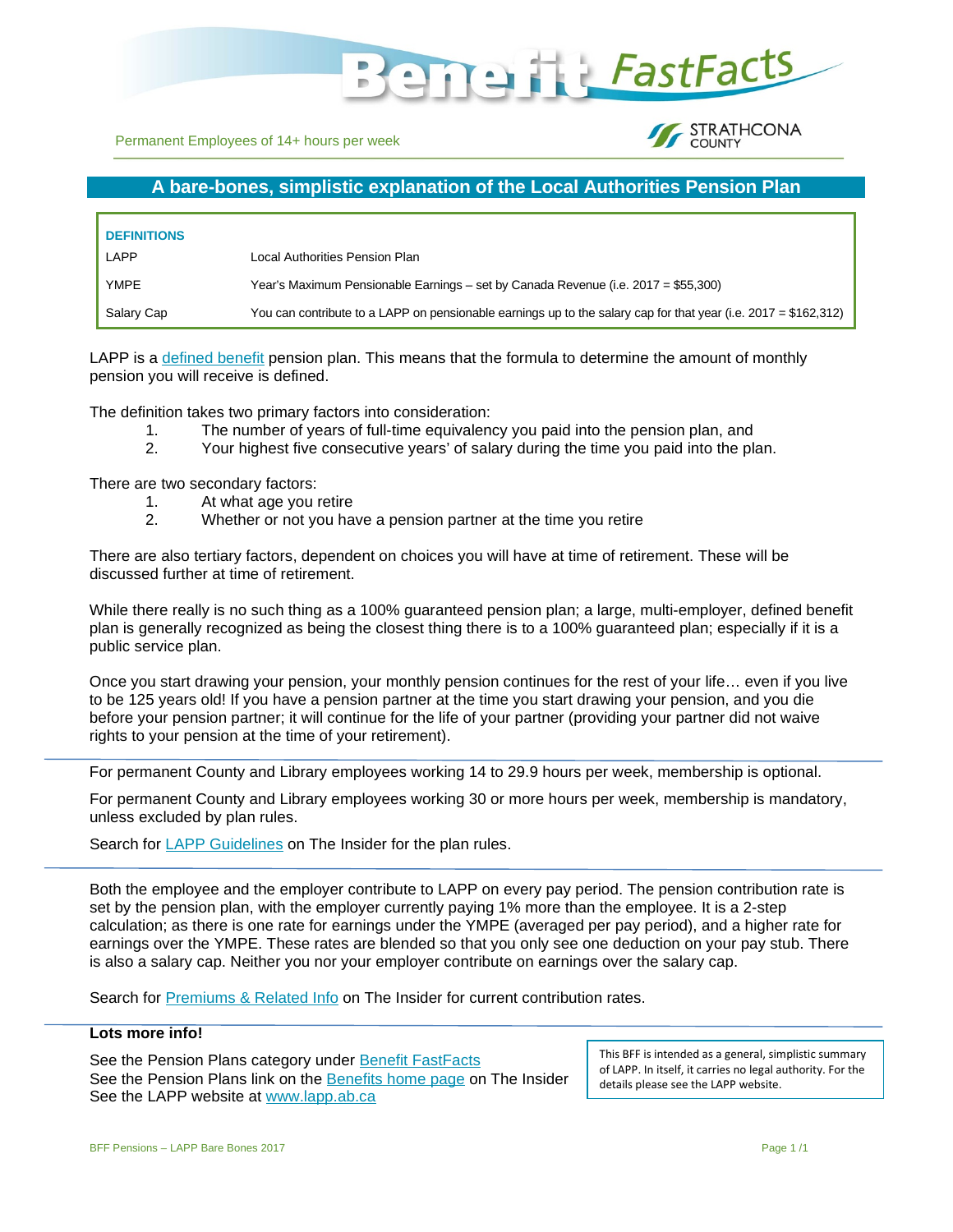

Permanent Employees of 14+ hours per week

#### **STRATHCONA** COUNTY

# **A bare-bones, simplistic explanation of the Local Authorities Pension Plan**

| <b>DEFINITIONS</b> |                                                                                                                 |
|--------------------|-----------------------------------------------------------------------------------------------------------------|
| LAPP               | Local Authorities Pension Plan                                                                                  |
| YMPE               | Year's Maximum Pensionable Earnings – set by Canada Revenue (i.e. 2017 = \$55,300)                              |
| Salary Cap         | You can contribute to a LAPP on pensionable earnings up to the salary cap for that year (i.e. 2017 = \$162,312) |

LAPP is a [defined benefit](https://en.wikipedia.org/wiki/Defined_benefit_pension_plan) pension plan. This means that the formula to determine the amount of monthly pension you will receive is defined.

The definition takes two primary factors into consideration:

- 1. The number of years of full-time equivalency you paid into the pension plan, and
- 2. Your highest five consecutive years' of salary during the time you paid into the plan.

There are two secondary factors:

- 1. At what age you retire
- 2. Whether or not you have a pension partner at the time you retire

There are also tertiary factors, dependent on choices you will have at time of retirement. These will be discussed further at time of retirement.

While there really is no such thing as a 100% guaranteed pension plan; a large, multi-employer, defined benefit plan is generally recognized as being the closest thing there is to a 100% guaranteed plan; especially if it is a public service plan.

Once you start drawing your pension, your monthly pension continues for the rest of your life… even if you live to be 125 years old! If you have a pension partner at the time you start drawing your pension, and you die before your pension partner; it will continue for the life of your partner (providing your partner did not waive rights to your pension at the time of your retirement).

For permanent County and Library employees working 14 to 29.9 hours per week, membership is optional.

For permanent County and Library employees working 30 or more hours per week, membership is mandatory, unless excluded by plan rules.

Search for [LAPP Guidelines](https://theinsider.strathcona.ca/resource/lapp-administrative-guidelines/) on The Insider for the plan rules.

Both the employee and the employer contribute to LAPP on every pay period. The pension contribution rate is set by the pension plan, with the employer currently paying 1% more than the employee. It is a 2-step calculation; as there is one rate for earnings under the YMPE (averaged per pay period), and a higher rate for earnings over the YMPE. These rates are blended so that you only see one deduction on your pay stub. There is also a salary cap. Neither you nor your employer contribute on earnings over the salary cap.

Search for [Premiums & Related Info](https://theinsider.strathcona.ca/resource/benefit-premiums-related-info/) on The Insider for current contribution rates.

#### **Lots more info!**

See the Pension Plans category under [Benefit FastFacts](https://theinsider.strathcona.ca/resource/benefits-fastfacts/) See the Pension Plans link on the **Benefits home page** on The Insider See the LAPP website at [www.lapp.ab.ca](http://www.lapp.ab.ca/)

This BFF is intended as a general, simplistic summary of LAPP. In itself, it carries no legal authority. For the details please see the LAPP website.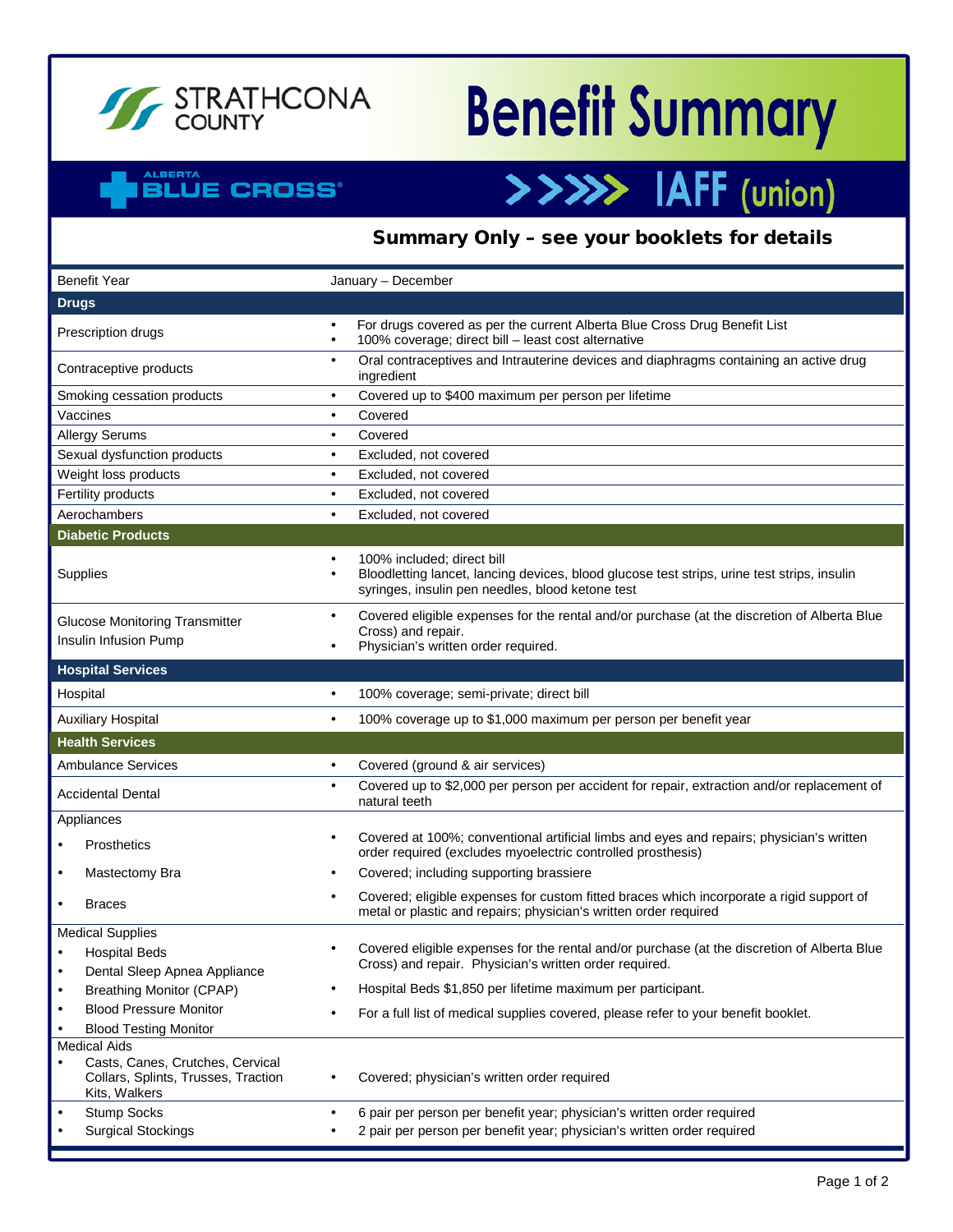

# **Benefit Summary**

>>>>> IAFF (union)

## **ALBERTA BLUE CROSS®**

# Summary Only – see your booklets for details

| <b>Benefit Year</b><br>January - December                                                                       |                                                                                                                                                                               |  |
|-----------------------------------------------------------------------------------------------------------------|-------------------------------------------------------------------------------------------------------------------------------------------------------------------------------|--|
| <b>Drugs</b>                                                                                                    |                                                                                                                                                                               |  |
| Prescription drugs                                                                                              | For drugs covered as per the current Alberta Blue Cross Drug Benefit List<br>100% coverage; direct bill - least cost alternative                                              |  |
| Contraceptive products                                                                                          | Oral contraceptives and Intrauterine devices and diaphragms containing an active drug<br>$\bullet$<br>ingredient                                                              |  |
| Smoking cessation products                                                                                      | Covered up to \$400 maximum per person per lifetime                                                                                                                           |  |
| Vaccines                                                                                                        | Covered<br>$\bullet$                                                                                                                                                          |  |
| <b>Allergy Serums</b>                                                                                           | Covered<br>$\bullet$                                                                                                                                                          |  |
| Sexual dysfunction products                                                                                     | Excluded, not covered<br>$\bullet$                                                                                                                                            |  |
| Weight loss products                                                                                            | Excluded, not covered<br>$\bullet$                                                                                                                                            |  |
| Fertility products                                                                                              | Excluded, not covered<br>$\bullet$                                                                                                                                            |  |
| Aerochambers                                                                                                    | Excluded, not covered<br>$\bullet$                                                                                                                                            |  |
| <b>Diabetic Products</b>                                                                                        |                                                                                                                                                                               |  |
| Supplies                                                                                                        | 100% included; direct bill<br>Bloodletting lancet, lancing devices, blood glucose test strips, urine test strips, insulin<br>syringes, insulin pen needles, blood ketone test |  |
| <b>Glucose Monitoring Transmitter</b><br>Insulin Infusion Pump                                                  | Covered eligible expenses for the rental and/or purchase (at the discretion of Alberta Blue<br>$\bullet$<br>Cross) and repair.<br>Physician's written order required.         |  |
| <b>Hospital Services</b>                                                                                        |                                                                                                                                                                               |  |
| Hospital                                                                                                        | 100% coverage; semi-private; direct bill<br>$\bullet$                                                                                                                         |  |
| <b>Auxiliary Hospital</b>                                                                                       | 100% coverage up to \$1,000 maximum per person per benefit year<br>$\bullet$                                                                                                  |  |
| <b>Health Services</b>                                                                                          |                                                                                                                                                                               |  |
| <b>Ambulance Services</b>                                                                                       | Covered (ground & air services)<br>$\bullet$                                                                                                                                  |  |
| <b>Accidental Dental</b>                                                                                        | Covered up to \$2,000 per person per accident for repair, extraction and/or replacement of<br>$\bullet$<br>natural teeth                                                      |  |
| Appliances                                                                                                      |                                                                                                                                                                               |  |
| <b>Prosthetics</b>                                                                                              | Covered at 100%; conventional artificial limbs and eyes and repairs; physician's written<br>order required (excludes myoelectric controlled prosthesis)                       |  |
| Mastectomy Bra                                                                                                  | Covered; including supporting brassiere                                                                                                                                       |  |
| <b>Braces</b>                                                                                                   | Covered; eligible expenses for custom fitted braces which incorporate a rigid support of<br>metal or plastic and repairs; physician's written order required                  |  |
| <b>Medical Supplies</b>                                                                                         |                                                                                                                                                                               |  |
| <b>Hospital Beds</b>                                                                                            | Covered eligible expenses for the rental and/or purchase (at the discretion of Alberta Blue<br>Cross) and repair. Physician's written order required.                         |  |
| Dental Sleep Apnea Appliance                                                                                    |                                                                                                                                                                               |  |
| <b>Breathing Monitor (CPAP)</b>                                                                                 | Hospital Beds \$1,850 per lifetime maximum per participant.                                                                                                                   |  |
| <b>Blood Pressure Monitor</b>                                                                                   | For a full list of medical supplies covered, please refer to your benefit booklet.                                                                                            |  |
| <b>Blood Testing Monitor</b>                                                                                    |                                                                                                                                                                               |  |
| <b>Medical Aids</b><br>Casts, Canes, Crutches, Cervical<br>Collars, Splints, Trusses, Traction<br>Kits, Walkers | Covered; physician's written order required                                                                                                                                   |  |
| <b>Stump Socks</b>                                                                                              | 6 pair per person per benefit year; physician's written order required                                                                                                        |  |
| <b>Surgical Stockings</b>                                                                                       | 2 pair per person per benefit year; physician's written order required                                                                                                        |  |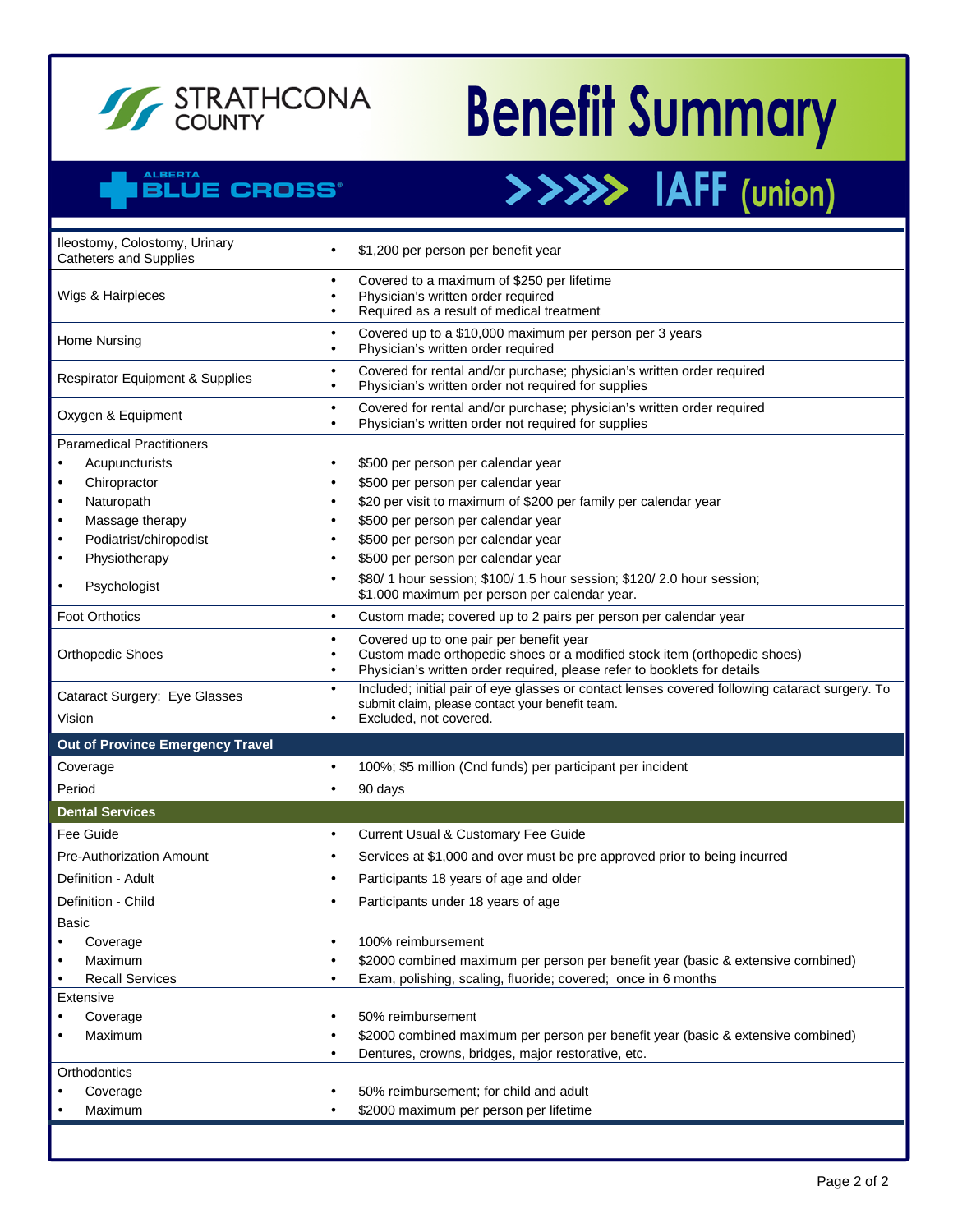

# **Benefit Summary**

>>>>> IAFF (union)

# ALBERTA<br>BLUE CROSS®

| Ileostomy, Colostomy, Urinary<br><b>Catheters and Supplies</b> |           | \$1,200 per person per benefit year                                                                                                                                                             |  |
|----------------------------------------------------------------|-----------|-------------------------------------------------------------------------------------------------------------------------------------------------------------------------------------------------|--|
| Wigs & Hairpieces                                              |           | Covered to a maximum of \$250 per lifetime<br>Physician's written order required<br>Required as a result of medical treatment                                                                   |  |
| Home Nursing                                                   | $\bullet$ | Covered up to a \$10,000 maximum per person per 3 years<br>Physician's written order required                                                                                                   |  |
| <b>Respirator Equipment &amp; Supplies</b>                     | $\bullet$ | Covered for rental and/or purchase; physician's written order required<br>Physician's written order not required for supplies                                                                   |  |
| Oxygen & Equipment                                             | $\bullet$ | Covered for rental and/or purchase; physician's written order required<br>Physician's written order not required for supplies                                                                   |  |
| <b>Paramedical Practitioners</b>                               |           |                                                                                                                                                                                                 |  |
| Acupuncturists<br>$\bullet$                                    |           | \$500 per person per calendar year                                                                                                                                                              |  |
| Chiropractor<br>$\bullet$                                      |           | \$500 per person per calendar year                                                                                                                                                              |  |
| Naturopath<br>$\bullet$                                        |           | \$20 per visit to maximum of \$200 per family per calendar year                                                                                                                                 |  |
| Massage therapy<br>$\bullet$                                   |           | \$500 per person per calendar year                                                                                                                                                              |  |
| Podiatrist/chiropodist<br>$\bullet$                            |           | \$500 per person per calendar year                                                                                                                                                              |  |
| Physiotherapy<br>$\bullet$                                     |           | \$500 per person per calendar year                                                                                                                                                              |  |
| Psychologist<br>$\bullet$                                      |           | \$80/ 1 hour session; \$100/ 1.5 hour session; \$120/ 2.0 hour session;<br>\$1,000 maximum per person per calendar year.                                                                        |  |
| <b>Foot Orthotics</b>                                          | $\bullet$ | Custom made; covered up to 2 pairs per person per calendar year                                                                                                                                 |  |
| <b>Orthopedic Shoes</b>                                        |           | Covered up to one pair per benefit year<br>Custom made orthopedic shoes or a modified stock item (orthopedic shoes)<br>Physician's written order required, please refer to booklets for details |  |
| Cataract Surgery: Eye Glasses                                  |           | Included; initial pair of eye glasses or contact lenses covered following cataract surgery. To<br>submit claim, please contact your benefit team.                                               |  |
| Vision                                                         |           | Excluded, not covered.                                                                                                                                                                          |  |
|                                                                |           |                                                                                                                                                                                                 |  |
| Out of Province Emergency Travel                               |           |                                                                                                                                                                                                 |  |
| Coverage                                                       | $\bullet$ | 100%; \$5 million (Cnd funds) per participant per incident                                                                                                                                      |  |
| Period                                                         |           | 90 days                                                                                                                                                                                         |  |
| <b>Dental Services</b>                                         |           |                                                                                                                                                                                                 |  |
| Fee Guide                                                      | $\bullet$ | Current Usual & Customary Fee Guide                                                                                                                                                             |  |
| Pre-Authorization Amount                                       |           | Services at \$1,000 and over must be pre approved prior to being incurred                                                                                                                       |  |
| Definition - Adult                                             |           | Participants 18 years of age and older                                                                                                                                                          |  |
| Definition - Child                                             |           | Participants under 18 years of age                                                                                                                                                              |  |
| Basic                                                          |           |                                                                                                                                                                                                 |  |
|                                                                |           | 100% reimbursement                                                                                                                                                                              |  |
| Coverage<br>Maximum                                            |           | \$2000 combined maximum per person per benefit year (basic & extensive combined)                                                                                                                |  |
| <b>Recall Services</b>                                         |           | Exam, polishing, scaling, fluoride; covered; once in 6 months                                                                                                                                   |  |
| Extensive                                                      |           |                                                                                                                                                                                                 |  |
| Coverage                                                       |           | 50% reimbursement                                                                                                                                                                               |  |
| Maximum                                                        |           | \$2000 combined maximum per person per benefit year (basic & extensive combined)                                                                                                                |  |
|                                                                |           | Dentures, crowns, bridges, major restorative, etc.                                                                                                                                              |  |
| Orthodontics                                                   |           |                                                                                                                                                                                                 |  |
| Coverage                                                       |           | 50% reimbursement; for child and adult                                                                                                                                                          |  |
| Maximum                                                        |           | \$2000 maximum per person per lifetime                                                                                                                                                          |  |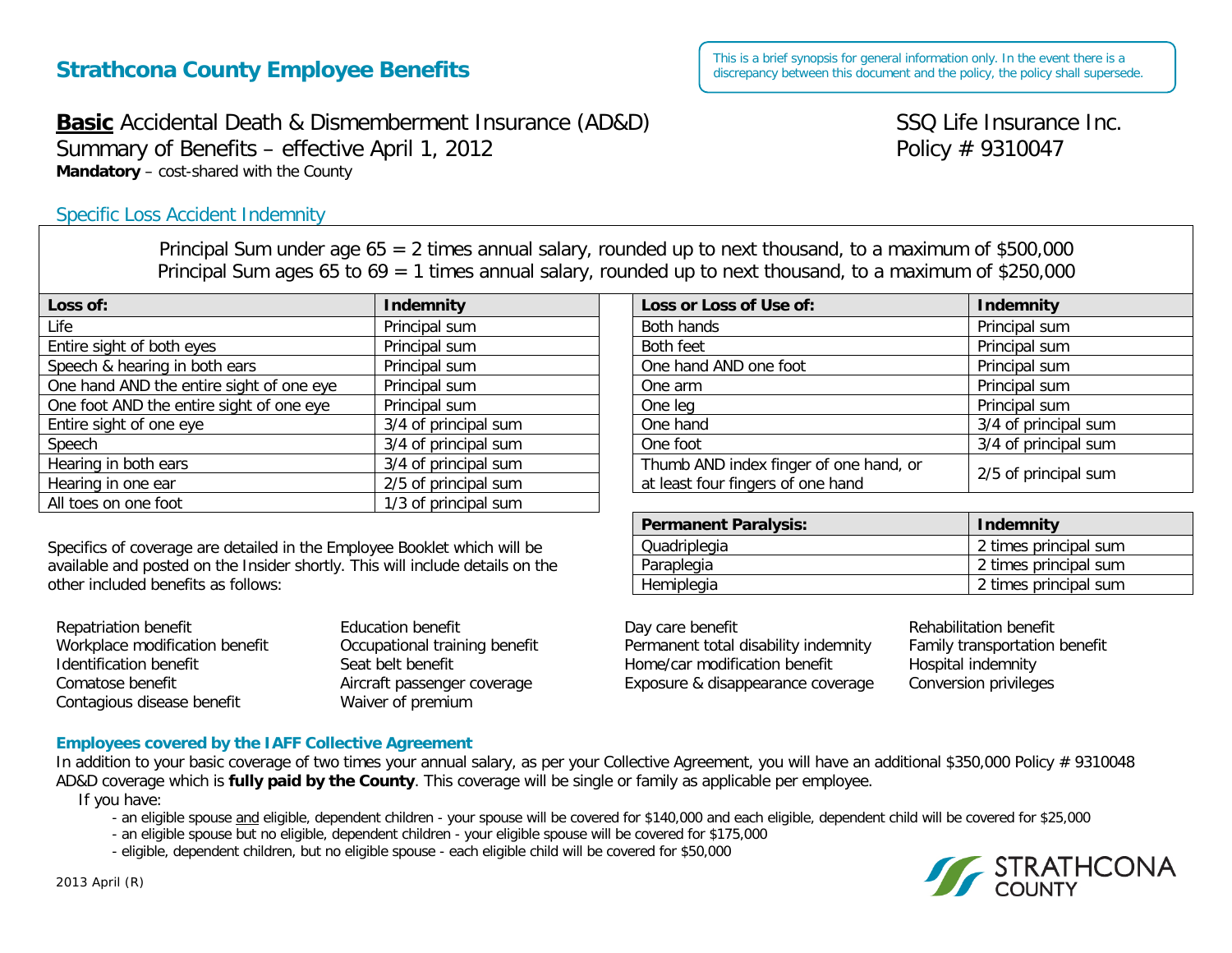# **Strathcona County Employee Benefits**

**Basic** Accidental Death & Dismemberment Insurance (AD&D) SSQ Life Insurance Inc. Summary of Benefits – effective April 1, 2012  $\blacksquare$  Policy # 9310047 **Mandatory** – cost-shared with the County

# Specific Loss Accident Indemnity

Principal Sum under age 65 = 2 times annual salary, rounded up to next thousand, to a maximum of \$500,000 Principal Sum ages 65 to 69 = 1 times annual salary, rounded up to next thousand, to a maximum of \$250,000

| Loss of:                                 | Indemnity            | Loss or Loss of Use of:                | Indemnity            |
|------------------------------------------|----------------------|----------------------------------------|----------------------|
| Life                                     | Principal sum        | Both hands                             | Principal sum        |
| Entire sight of both eyes                | Principal sum        | Both feet                              | Principal sum        |
| Speech & hearing in both ears            | Principal sum        | One hand AND one foot                  | Principal sum        |
| One hand AND the entire sight of one eye | Principal sum        | One arm                                | Principal sum        |
| One foot AND the entire sight of one eye | Principal sum        | One leg                                | Principal sum        |
| Entire sight of one eye                  | 3/4 of principal sum | One hand                               | 3/4 of principal sum |
| Speech                                   | 3/4 of principal sum | One foot                               | 3/4 of principal sum |
| Hearing in both ears                     | 3/4 of principal sum | Thumb AND index finger of one hand, or | 2/5 of principal sum |
| Hearing in one ear                       | 2/5 of principal sum | at least four fingers of one hand      |                      |
| All toes on one foot                     | 1/3 of principal sum |                                        |                      |

Specifics of coverage are detailed in the Employee Booklet which will be available and posted on the Insider shortly. This will include details on the other included benefits as follows:

| Repatriation benefit           | <b>Education benefit</b>      | Day care benefit                     | Rehabilitation benefit       |
|--------------------------------|-------------------------------|--------------------------------------|------------------------------|
| Workplace modification benefit | Occupational training benefit | Permanent total disability indemnity | <b>Family transportation</b> |
| Identification benefit         | Seat belt benefit             | Home/car modification benefit        | Hospital indemnity           |
| Comatose benefit               | Aircraft passenger coverage   | Exposure & disappearance coverage    | <b>Conversion privileges</b> |
| Contagious disease benefit     | Waiver of premium             |                                      |                              |

#### **Employees covered by the IAFF Collective Agreement**

In addition to your basic coverage of two times your annual salary, as per your Collective Agreement, you will have an additional \$350,000 Policy # 9310048 AD&D coverage which is **fully paid by the County**. This coverage will be single or family as applicable per employee.

If you have:

- an eligible spouse and eligible, dependent children - your spouse will be covered for \$140,000 and each eligible, dependent child will be covered for \$25,000

- an eligible spouse but no eligible, dependent children your eligible spouse will be covered for \$175,000
- eligible, dependent children, but no eligible spouse each eligible child will be covered for \$50,000



This is a brief synopsis for general information only. In the event there is a discrepancy between this document and the policy, the policy shall supersede.

| Loss or Loss of Use of:                                                     | <b>Indemnity</b>     |  |
|-----------------------------------------------------------------------------|----------------------|--|
| Both hands                                                                  | Principal sum        |  |
| Both feet                                                                   | Principal sum        |  |
| One hand AND one foot                                                       | Principal sum        |  |
| One arm                                                                     | Principal sum        |  |
| One leg                                                                     | Principal sum        |  |
| One hand                                                                    | 3/4 of principal sum |  |
| One foot                                                                    | 3/4 of principal sum |  |
| Thumb AND index finger of one hand, or<br>at least four fingers of one hand | 2/5 of principal sum |  |

| <b>Permanent Paralysis:</b> | <b>Indemnity</b>      |
|-----------------------------|-----------------------|
| Quadriplegia                | 2 times principal sum |
| Paraplegia                  | 2 times principal sum |
| Hemiplegia                  | 2 times principal sum |

transportation benefit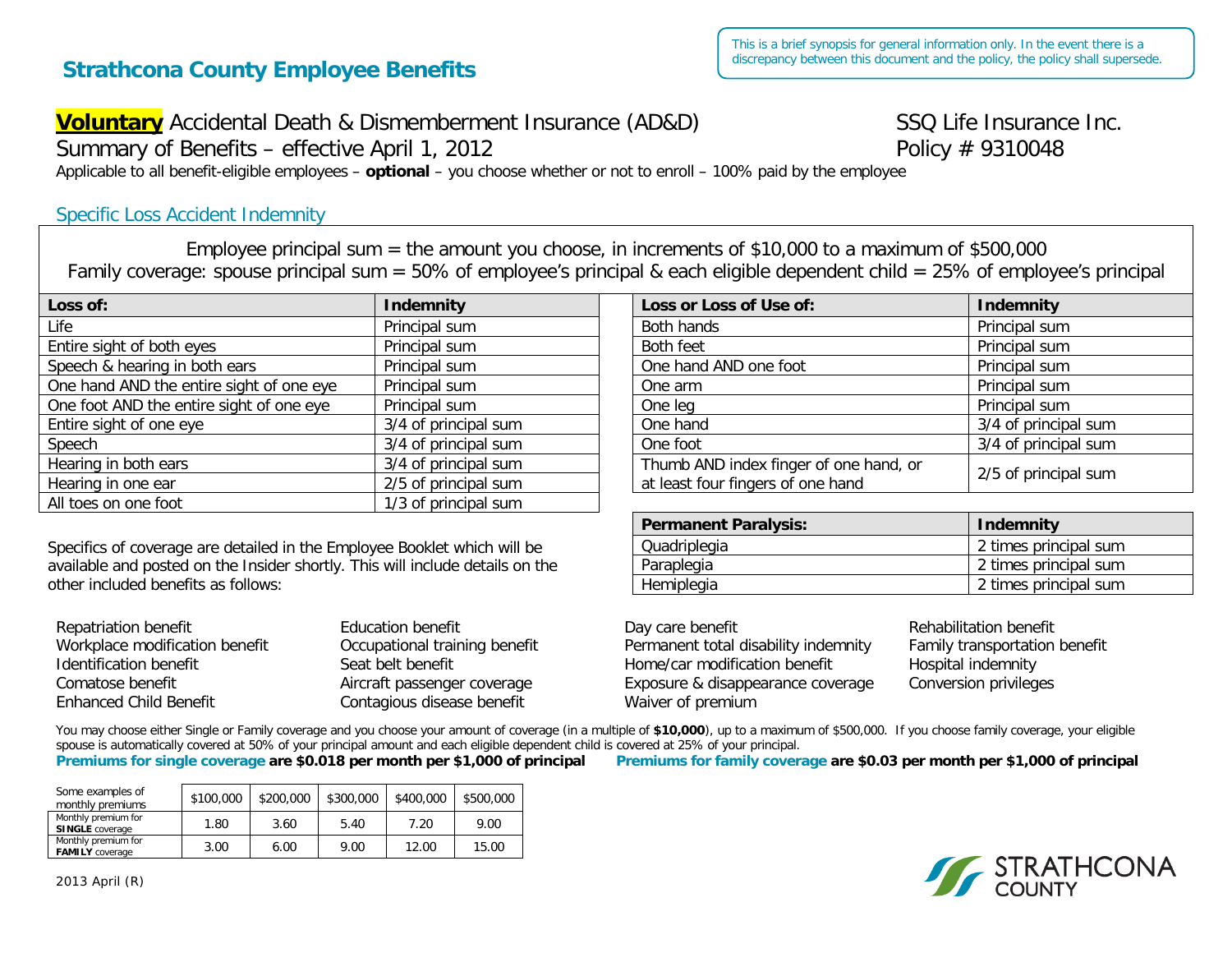# **Strathcona County Employee Benefits**

# **Voluntary** Accidental Death & Dismemberment Insurance (AD&D) SSQ Life Insurance Inc.

Summary of Benefits – effective April 1, 2012  $\blacksquare$  Policy # 9310048

Applicable to all benefit-eligible employees – **optional** – you choose whether or not to enroll – 100% paid by the employee

# Specific Loss Accident Indemnity

Employee principal sum = the amount you choose, in increments of \$10,000 to a maximum of \$500,000 Family coverage: spouse principal sum = 50% of employee's principal & each eligible dependent child = 25% of employee's principal

| Loss of:                                 | Indemnity            | Loss or Loss of Use of:                | <b>Indemnity</b>     |
|------------------------------------------|----------------------|----------------------------------------|----------------------|
| Life                                     | Principal sum        | Both hands                             | Principal sum        |
| Entire sight of both eyes                | Principal sum        | Both feet                              | Principal sum        |
| Speech & hearing in both ears            | Principal sum        | One hand AND one foot                  | Principal sum        |
| One hand AND the entire sight of one eye | Principal sum        | One arm                                | Principal sum        |
| One foot AND the entire sight of one eye | Principal sum        | One leg                                | Principal sum        |
| Entire sight of one eye                  | 3/4 of principal sum | One hand                               | 3/4 of principal sum |
| Speech                                   | 3/4 of principal sum | One foot                               | 3/4 of principal sum |
| Hearing in both ears                     | 3/4 of principal sum | Thumb AND index finger of one hand, or | 2/5 of principal sum |
| Hearing in one ear                       | 2/5 of principal sum | at least four fingers of one hand      |                      |
| All toes on one foot                     | 1/3 of principal sum |                                        |                      |

Specifics of coverage are detailed in the Employee Booklet which will be available and posted on the Insider shortly. This will include details on the other included benefits as follows:

| Identification benefit            | Day care benefit                     |
|-----------------------------------|--------------------------------------|
| Seat belt benefit                 | Rehabilitation benefit               |
| Comatose benefit                  | Occupational training benefit        |
| Exposure & disappearance coverage | Family transportation benefit        |
| Aircraft passenger coverage       | Permanent total disability indemnity |
| <b>Enhanced Child Benefit</b>     | Home/car modification benefit        |
| Contagious disease benefit        | Hospital indemnity                   |
| Waiver of premium                 | Conversion privileges                |

You may choose either Single or Family coverage and you choose your amount of coverage (in a multiple of \$10,000), up to a maximum of \$500,000. If you choose family coverage, your eligible spouse is automatically covered at 50% of your principal amount and each eligible dependent child is covered at 25% of your principal.

**Premiums for single coverage are \$0.018 per month per \$1,000 of principal Premiums for family coverage are \$0.03 per month per \$1,000 of principal**

| Some examples of<br>monthly premiums          | \$100,000 | \$200,000 | \$300,000 | \$400,000 | \$500,000 |
|-----------------------------------------------|-----------|-----------|-----------|-----------|-----------|
| Monthly premium for<br><b>SINGLE</b> coverage | 1.80      | 3.60      | 5.40      | 7.20      | 9.00      |
| Monthly premium for<br><b>FAMILY</b> coverage | 3.00      | 6.00      | 9.00      | 12.00     | 15.00     |

| uui nanus                                                                 | <b>FILILIUDAL SUITE</b> |
|---------------------------------------------------------------------------|-------------------------|
| oth feet                                                                  | Principal sum           |
| ne hand AND one foot                                                      | Principal sum           |
| ne arm                                                                    | Principal sum           |
| ne leg                                                                    | Principal sum           |
| ne hand                                                                   | 3/4 of principal sum    |
| ne foot                                                                   | 3/4 of principal sum    |
| humb AND index finger of one hand, or<br>t least four fingers of one hand | 2/5 of principal sum    |

| <b>Permanent Paralysis:</b> | <b>Indemnity</b>      |
|-----------------------------|-----------------------|
| Quadriplegia                | 2 times principal sum |
| Paraplegia                  | 2 times principal sum |
| Hemiplegia                  | 2 times principal sum |



2013 April (R)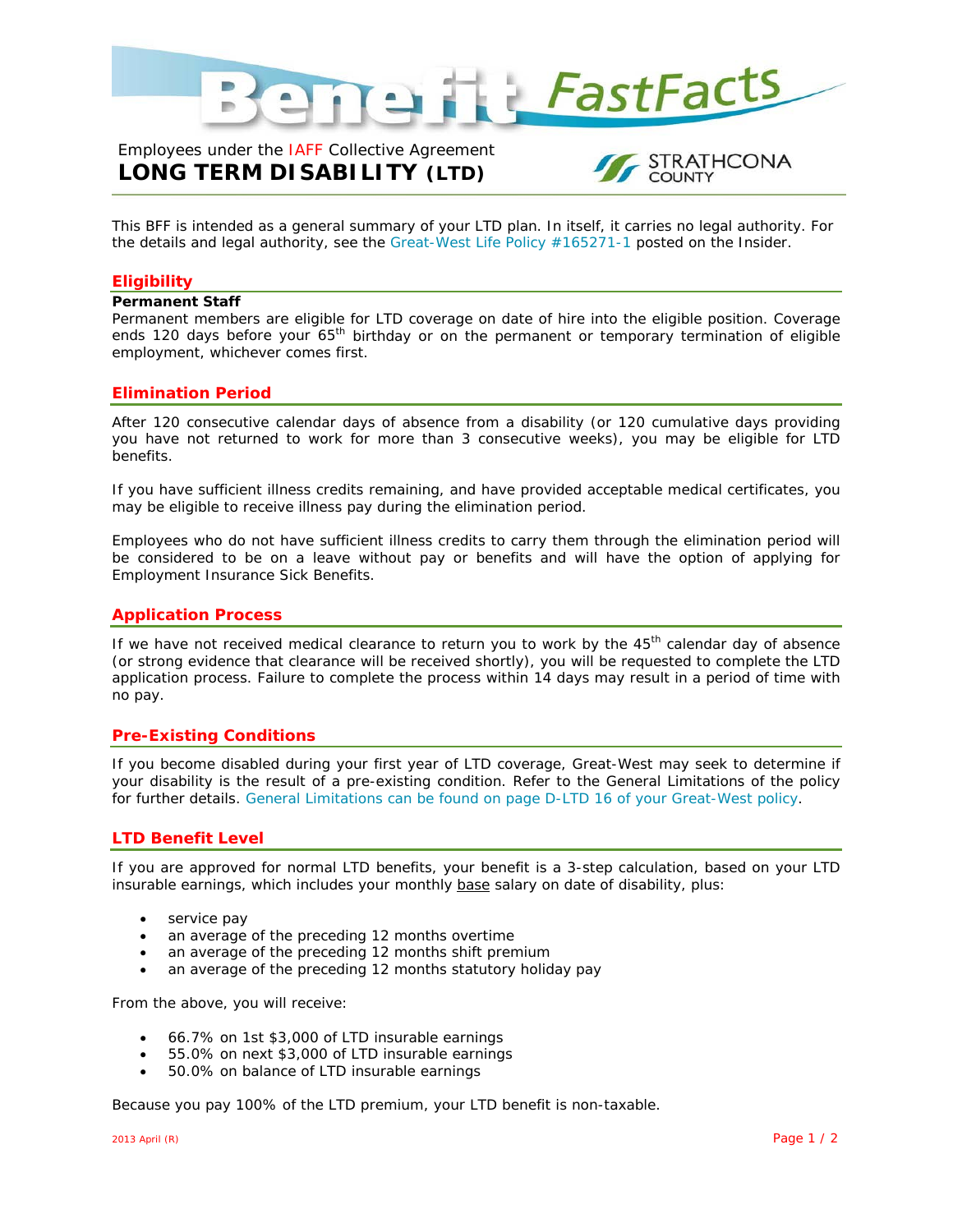

# Employees under the IAFF Collective Agreement **LONG TERM DISABILITY (LTD)**



This BFF is intended as a general summary of your LTD plan. In itself, it carries no legal authority. For the details and legal authority, see the Great-West Life Policy #165271-1 posted on the Insider.

#### **Eligibility**

#### **Permanent Staff**

Permanent members are eligible for LTD coverage on date of hire into the eligible position. Coverage ends 120 days before your 65<sup>th</sup> birthday or on the permanent or temporary termination of eligible employment, whichever comes first.

#### **Elimination Period**

After 120 consecutive calendar days of absence from a disability (or 120 cumulative days providing you have not returned to work for more than 3 consecutive weeks), you may be eligible for LTD benefits.

If you have sufficient illness credits remaining, and have provided acceptable medical certificates, you may be eligible to receive illness pay during the elimination period.

Employees who do not have sufficient illness credits to carry them through the elimination period will be considered to be on a leave without pay or benefits and will have the option of applying for Employment Insurance Sick Benefits.

#### **Application Process**

If we have not received medical clearance to return you to work by the 45<sup>th</sup> calendar day of absence (or strong evidence that clearance will be received shortly), you will be requested to complete the LTD application process. Failure to complete the process within 14 days may result in a period of time with no pay.

#### **Pre-Existing Conditions**

If you become disabled during your first year of LTD coverage, Great-West may seek to determine if your disability is the result of a pre-existing condition. Refer to the General Limitations of the policy for further details. General Limitations can be found on page D-LTD 16 of your Great-West policy.

#### **LTD Benefit Level**

If you are approved for normal LTD benefits, your benefit is a 3-step calculation, based on your LTD insurable earnings, which includes your monthly base salary on date of disability, plus:

- service pay
- an average of the preceding 12 months overtime
- an average of the preceding 12 months shift premium
- an average of the preceding 12 months statutory holiday pay

From the above, you will receive:

- 66.7% on 1st \$3,000 of LTD insurable earnings
- 55.0% on next \$3,000 of LTD insurable earnings
- 50.0% on balance of LTD insurable earnings

Because you pay 100% of the LTD premium, your LTD benefit is non-taxable.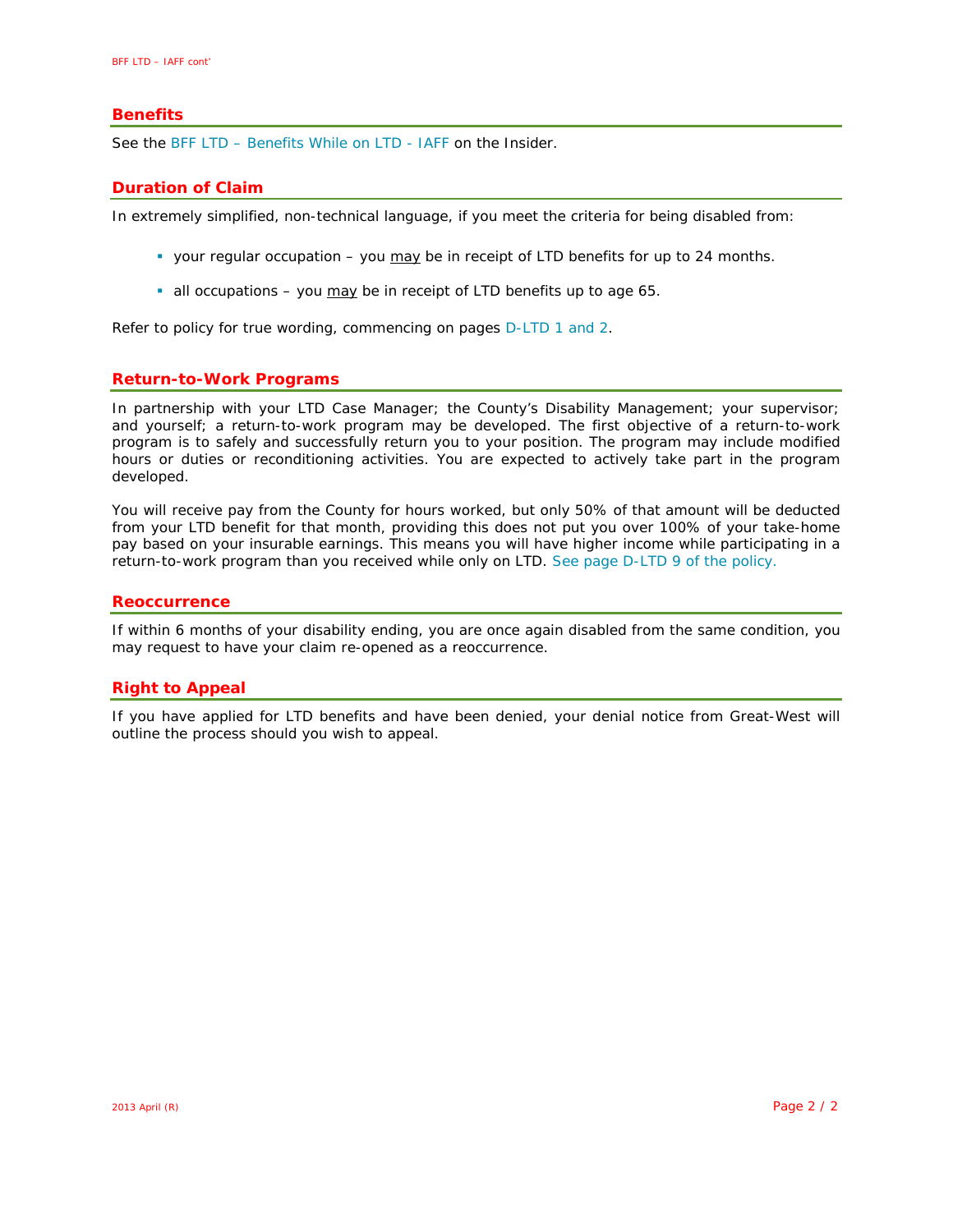#### **Benefits**

See the BFF LTD – Benefits While on LTD - IAFF on the Insider.

#### **Duration of Claim**

In extremely simplified, non-technical language, if you meet the criteria for being disabled from:

- your regular occupation you  $\frac{may}{day}$  be in receipt of LTD benefits for up to 24 months.
- all occupations you may be in receipt of LTD benefits up to age 65.

Refer to policy for true wording, commencing on pages D-LTD 1 and 2.

#### **Return-to-Work Programs**

In partnership with your LTD Case Manager; the County's Disability Management; your supervisor; and yourself; a return-to-work program may be developed. The first objective of a return-to-work program is to safely and successfully return you to your position. The program may include modified hours or duties or reconditioning activities. You are expected to actively take part in the program developed.

You will receive pay from the County for hours worked, but only 50% of that amount will be deducted from your LTD benefit for that month, providing this does not put you over 100% of your take-home pay based on your insurable earnings. This means you will have higher income while participating in a return-to-work program than you received while only on LTD. See page D-LTD 9 of the policy.

#### **Reoccurrence**

If within 6 months of your disability ending, you are once again disabled from the same condition, you may request to have your claim re-opened as a reoccurrence.

#### **Right to Appeal**

If you have applied for LTD benefits and have been denied, your denial notice from Great-West will outline the process should you wish to appeal.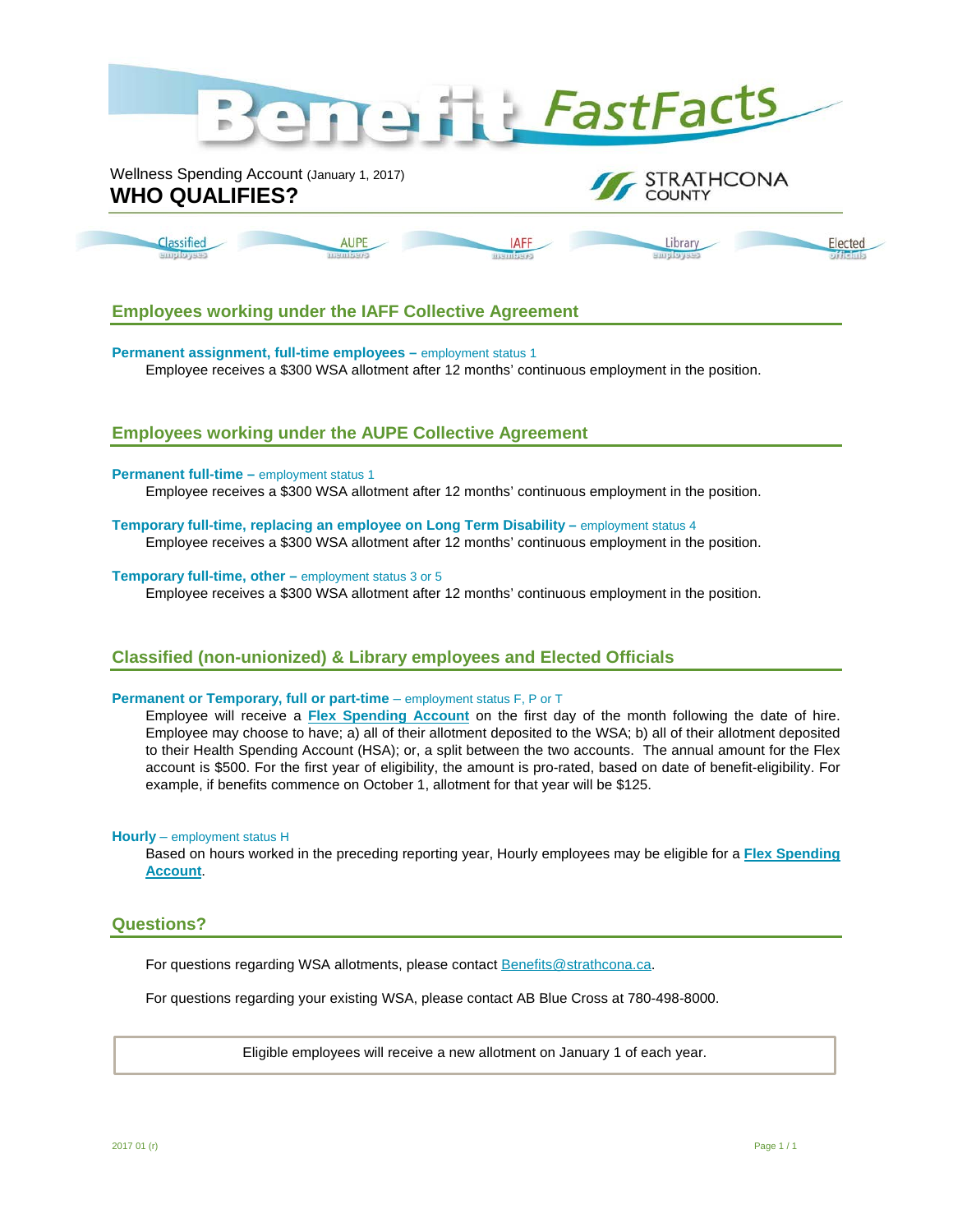

### **Employees working under the IAFF Collective Agreement**

**Permanent assignment, full-time employees – employment status 1** Employee receives a \$300 WSA allotment after 12 months' continuous employment in the position.

### **Employees working under the AUPE Collective Agreement**

#### **Permanent full-time – employment status 1**

Employee receives a \$300 WSA allotment after 12 months' continuous employment in the position.

#### **Temporary full-time, replacing an employee on Long Term Disability – employment status 4** Employee receives a \$300 WSA allotment after 12 months' continuous employment in the position.

#### **Temporary full-time, other** – employment status 3 or 5

Employee receives a \$300 WSA allotment after 12 months' continuous employment in the position.

#### **Classified (non-unionized) & Library employees and Elected Officials**

#### **Permanent or Temporary, full or part-time** – employment status F, P or T

Employee will receive a **[Flex Spending Account](http://theinsider.strathcona.ab.ca/Files/at-HR-Benefits-BFF-SPA-Flex.pdf)** on the first day of the month following the date of hire. Employee may choose to have; a) all of their allotment deposited to the WSA; b) all of their allotment deposited to their Health Spending Account (HSA); or, a split between the two accounts. The annual amount for the Flex account is \$500. For the first year of eligibility, the amount is pro-rated, based on date of benefit-eligibility. For example, if benefits commence on October 1, allotment for that year will be \$125.

#### **Hourly** – employment status H

Based on hours worked in the preceding reporting year, Hourly employees may be eligible for a **[Flex Spending](https://theinsider.strathcona.ca/resource/hourly-flex-spending-account/)  [Account](https://theinsider.strathcona.ca/resource/hourly-flex-spending-account/)**.

#### **Questions?**

For questions regarding WSA allotments, please contact [Benefits@strathcona.ca.](mailto:Benefits@strathcona.ca)

For questions regarding your existing WSA, please contact AB Blue Cross at 780-498-8000.

Eligible employees will receive a new allotment on January 1 of each year.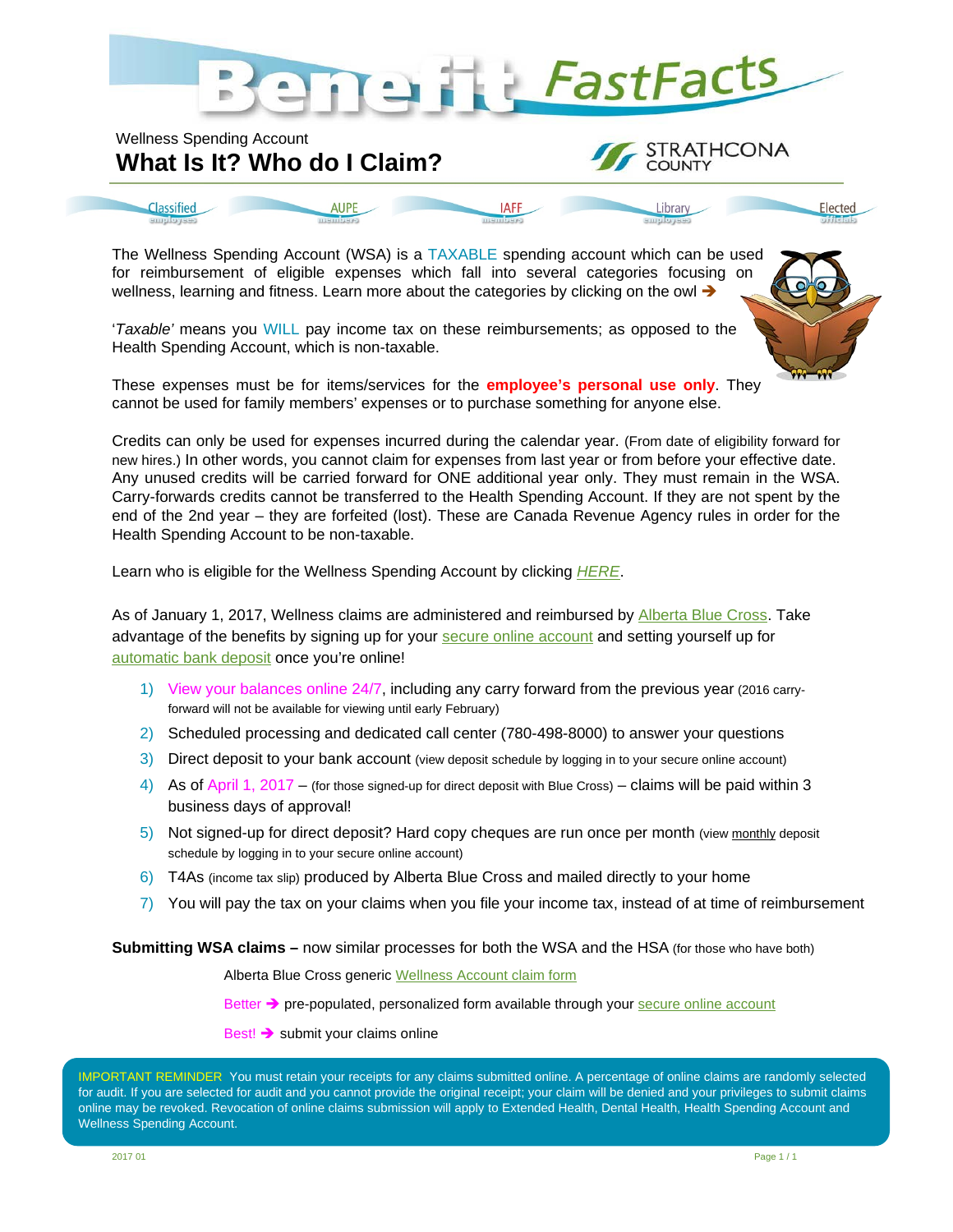

**IAFF** 

STRATHCONA

Elected

**COUNTY** 

Library

# Wellness Spending Account **What Is It? Who do I Claim?**

**AUPE** 

Classified

The Wellness Spending Account (WSA) is a TAXABLE spending account which can be u[sed](https://theinsider.strathcona.ca/resource/2017-wellness-spending-account-categories/)  for reimbursement of eligible expenses which fall into several categories focusing on wellness, learning and fitness. Learn more about the categories by clicking on the owl  $\rightarrow$ 

'*Taxable'* means you WILL pay income tax on these reimbursements; as opposed to the Health Spending Account, which is non-taxable.

These expenses must be for items/services for the **employee's personal use only**. They cannot be used for family members' expenses or to purchase something for anyone else.

Credits can only be used for expenses incurred during the calendar year. (From date of eligibility forward for new hires.) In other words, you cannot claim for expenses from last year or from before your effective date. Any unused credits will be carried forward for ONE additional year only. They must remain in the WSA. Carry-forwards credits cannot be transferred to the Health Spending Account. If they are not spent by the end of the 2nd year – they are forfeited (lost). These are Canada Revenue Agency rules in order for the Health Spending Account to be non-taxable.

Learn who is eligible for the Wellness Spending Account by clicking *[HERE](https://theinsider.strathcona.ca/resource/bff-spending-accounts-lfa-who-gets-it/)*.

As of January 1, 2017, Wellness claims are administered and reimbursed by [Alberta Blue Cross.](https://iblue.ab.bluecross.ca/ECA/faces/App/login.jspx) Take advantage of the benefits by signing up for your [secure online account](https://iblue.ab.bluecross.ca/ECA/faces/App/login.jspx) and setting yourself up for [automatic bank deposit](https://www.ab.bluecross.ca/plan-members/gpm-secure-services.php) once you're online!

- 1) View your balances online 24/7, including any carry forward from the previous year (2016 carryforward will not be available for viewing until early February)
- 2) Scheduled processing and dedicated call center (780-498-8000) to answer your questions
- 3) Direct deposit to your bank account (view deposit schedule by logging in to your secure online account)
- 4) As of April 1, 2017 (for those signed-up for direct deposit with Blue Cross) claims will be paid within 3 business days of approval!
- 5) Not signed-up for direct deposit? Hard copy cheques are run once per month (view monthly deposit schedule by logging in to your secure online account)
- 6) T4As (income tax slip) produced by Alberta Blue Cross and mailed directly to your home
- 7) You will pay the tax on your claims when you file your income tax, instead of at time of reimbursement

**Submitting WSA claims –** now similar processes for both the WSA and the HSA (for those who have both)

Alberta Blue Cross generic [Wellness Account claim form](https://www.ab.bluecross.ca/pdfs/31161.pdf)

Better  $\rightarrow$  pre-populated, personalized form available through your [secure online account](https://iblue.ab.bluecross.ca/ECA/faces/App/login.jspx)

Best!  $\rightarrow$  submit your claims online

IMPORTANT REMINDER You must retain your receipts for any claims submitted online. A percentage of online claims are randomly selected for audit. If you are selected for audit and you cannot provide the original receipt; your claim will be denied and your privileges to submit claims online may be revoked. Revocation of online claims submission will apply to Extended Health, Dental Health, Health Spending Account and Wellness Spending Account.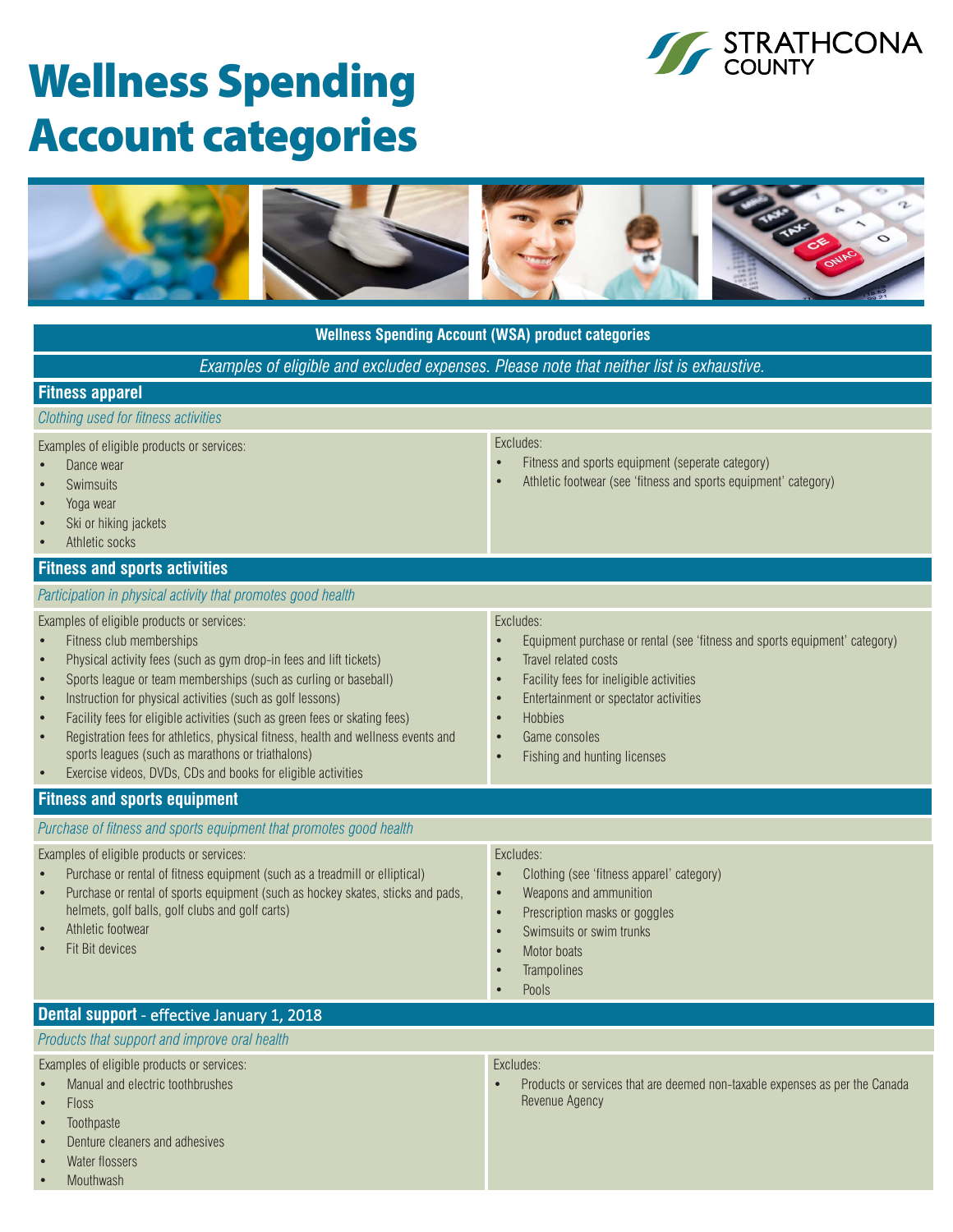

# Wellness Spending Account categories



| <b>Wellness Spending Account (WSA) product categories</b>                                                                                                                                                                                                                                                                                                                                                                                                                                                                                                                                                                             |                                                                                                                                                                                                                                                                                                                     |  |  |  |
|---------------------------------------------------------------------------------------------------------------------------------------------------------------------------------------------------------------------------------------------------------------------------------------------------------------------------------------------------------------------------------------------------------------------------------------------------------------------------------------------------------------------------------------------------------------------------------------------------------------------------------------|---------------------------------------------------------------------------------------------------------------------------------------------------------------------------------------------------------------------------------------------------------------------------------------------------------------------|--|--|--|
| Examples of eligible and excluded expenses. Please note that neither list is exhaustive.                                                                                                                                                                                                                                                                                                                                                                                                                                                                                                                                              |                                                                                                                                                                                                                                                                                                                     |  |  |  |
| <b>Fitness apparel</b>                                                                                                                                                                                                                                                                                                                                                                                                                                                                                                                                                                                                                |                                                                                                                                                                                                                                                                                                                     |  |  |  |
| Clothing used for fitness activities                                                                                                                                                                                                                                                                                                                                                                                                                                                                                                                                                                                                  |                                                                                                                                                                                                                                                                                                                     |  |  |  |
| Examples of eligible products or services:<br>Dance wear<br><b>Swimsuits</b><br>Yoga wear<br>Ski or hiking jackets<br>Athletic socks                                                                                                                                                                                                                                                                                                                                                                                                                                                                                                  | Excludes:<br>Fitness and sports equipment (seperate category)<br>$\bullet$<br>Athletic footwear (see 'fitness and sports equipment' category)                                                                                                                                                                       |  |  |  |
| <b>Fitness and sports activities</b>                                                                                                                                                                                                                                                                                                                                                                                                                                                                                                                                                                                                  |                                                                                                                                                                                                                                                                                                                     |  |  |  |
| Participation in physical activity that promotes good health<br>Examples of eligible products or services:<br>Fitness club memberships<br>Physical activity fees (such as gym drop-in fees and lift tickets)<br>Sports league or team memberships (such as curling or baseball)<br>Instruction for physical activities (such as golf lessons)<br>Facility fees for eligible activities (such as green fees or skating fees)<br>Registration fees for athletics, physical fitness, health and wellness events and<br>sports leagues (such as marathons or triathalons)<br>Exercise videos, DVDs, CDs and books for eligible activities | Excludes:<br>Equipment purchase or rental (see 'fitness and sports equipment' category)<br>Travel related costs<br>Facility fees for ineligible activities<br>$\bullet$<br>Entertainment or spectator activities<br>$\bullet$<br>Hobbies<br>Game consoles<br>$\bullet$<br>Fishing and hunting licenses<br>$\bullet$ |  |  |  |
| <b>Fitness and sports equipment</b>                                                                                                                                                                                                                                                                                                                                                                                                                                                                                                                                                                                                   |                                                                                                                                                                                                                                                                                                                     |  |  |  |
| Purchase of fitness and sports equipment that promotes good health                                                                                                                                                                                                                                                                                                                                                                                                                                                                                                                                                                    |                                                                                                                                                                                                                                                                                                                     |  |  |  |
| Examples of eligible products or services:<br>Purchase or rental of fitness equipment (such as a treadmill or elliptical)<br>Purchase or rental of sports equipment (such as hockey skates, sticks and pads,<br>helmets, golf balls, golf clubs and golf carts)<br>Athletic footwear<br>Fit Bit devices                                                                                                                                                                                                                                                                                                                               | Excludes:<br>Clothing (see 'fitness apparel' category)<br>$\bullet$<br>Weapons and ammunition<br>$\bullet$<br>Prescription masks or goggles<br>$\bullet$<br>Swimsuits or swim trunks<br>$\bullet$<br>Motor boats<br>Trampolines<br>Pools                                                                            |  |  |  |
| Dental support - effective January 1, 2018                                                                                                                                                                                                                                                                                                                                                                                                                                                                                                                                                                                            |                                                                                                                                                                                                                                                                                                                     |  |  |  |
| Products that support and improve oral health                                                                                                                                                                                                                                                                                                                                                                                                                                                                                                                                                                                         |                                                                                                                                                                                                                                                                                                                     |  |  |  |
| Examples of eligible products or services:<br>Manual and electric toothbrushes<br><b>Floss</b><br>Toothpaste<br>Denture cleaners and adhesives                                                                                                                                                                                                                                                                                                                                                                                                                                                                                        | Excludes:<br>Products or services that are deemed non-taxable expenses as per the Canada<br>Revenue Agency                                                                                                                                                                                                          |  |  |  |

- Water flossers
- **Mouthwash**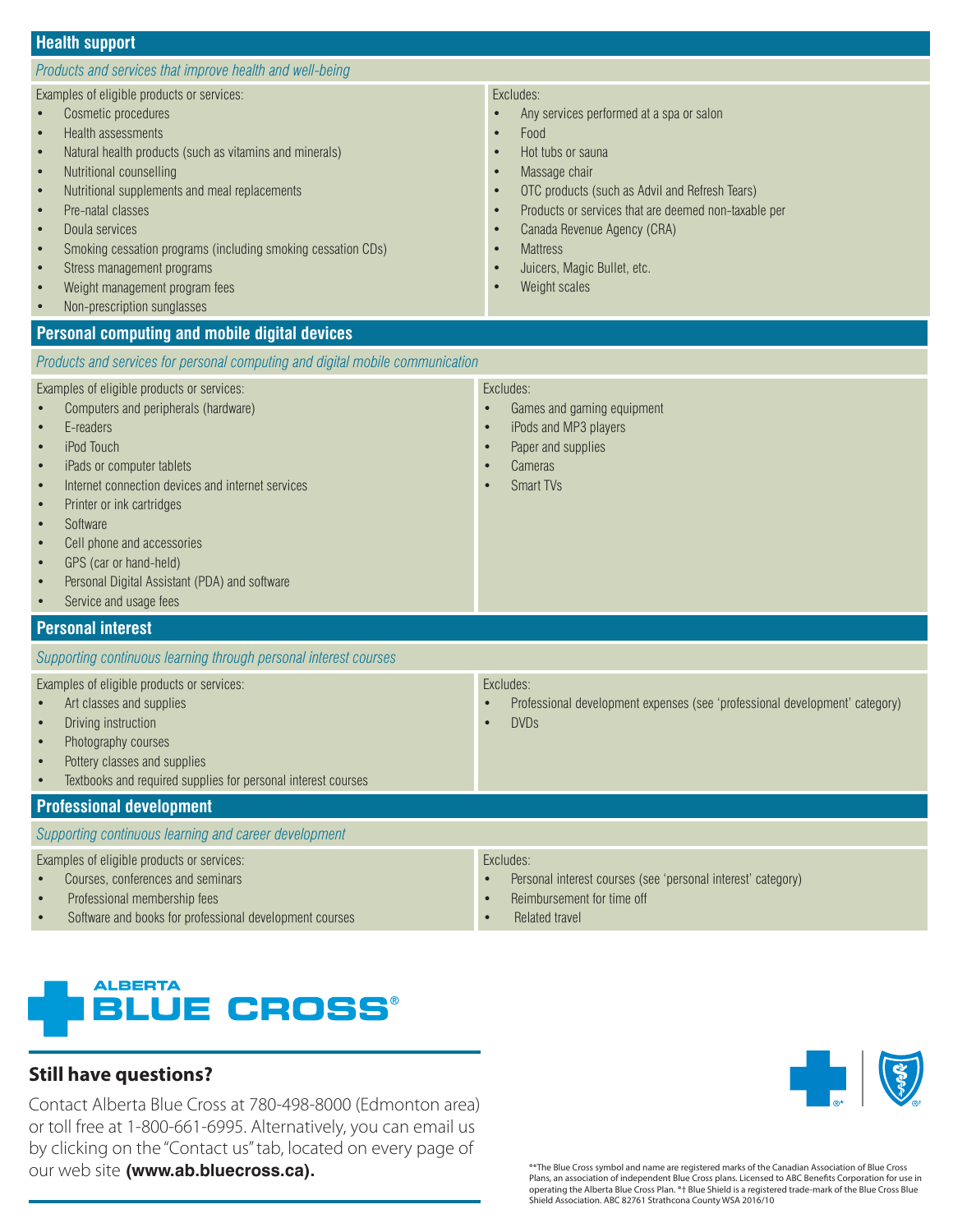#### **Health support**

#### *Products and services that improve health and well-being*

Examples of eligible products or services:

- Cosmetic procedures
- Health assessments
- Natural health products (such as vitamins and minerals)
- Nutritional counselling
- Nutritional supplements and meal replacements
- Pre-natal classes
- Doula services
- Smoking cessation programs (including smoking cessation CDs)
- Stress management programs
- Weight management program fees
- Non-prescription sunglasses

#### **Personal computing and mobile digital devices**

*Products and services for personal computing and digital mobile communication*

#### Examples of eligible products or services:

- Computers and peripherals (hardware)
- E-readers
- iPod Touch
- iPads or computer tablets
- Internet connection devices and internet services
- Printer or ink cartridges
- **Software**
- Cell phone and accessories
- GPS (car or hand-held)
- Personal Digital Assistant (PDA) and software
- Service and usage fees

#### **Personal interest**

*Supporting continuous learning through personal interest courses*

|  |  |  | Examples of eligible products or services: |
|--|--|--|--------------------------------------------|
|--|--|--|--------------------------------------------|

- Art classes and supplies
- Driving instruction
- Photography courses
- Pottery classes and supplies
- Textbooks and required supplies for personal interest courses

#### **Professional development**

*Supporting continuous learning and career development*

Examples of eligible products or services:

- Courses, conferences and seminars
- Professional membership fees
- Software and books for professional development courses

• Reimbursement for time off

Excludes:

Related travel



## **Still have questions?**

Contact Alberta Blue Cross at 780-498-8000 (Edmonton area) or toll free at 1-800-661-6995. Alternatively, you can email us by clicking on the "Contact us" tab, located on every page of our web site **(www.ab.bluecross.ca).** 



®\*The Blue Cross symbol and name are registered marks of the Canadian Association of Blue Cross Plans, an association of independent Blue Cross plans. Licensed to ABC Benefits Corporation for use in<br>operating the Alberta Blue Cross Plan. \*† Blue Shield is a registered trade-mark of the Blue Cross Blue<br>Shield Associat

• Professional development expenses (see 'professional development' category)

Personal interest courses (see 'personal interest' category)

#### Excludes:

- Any services performed at a spa or salon
- Food
- Hot tubs or sauna
- Massage chair
- OTC products (such as Advil and Refresh Tears)
- Products or services that are deemed non-taxable per
- Canada Revenue Agency (CRA)

• Games and gaming equipment iPods and MP3 players Paper and supplies

**Mattress** 

Excludes:

Excludes:

• DVDs

- Juicers, Magic Bullet, etc.
- Weight scales

**Cameras** Smart TV<sub>s</sub>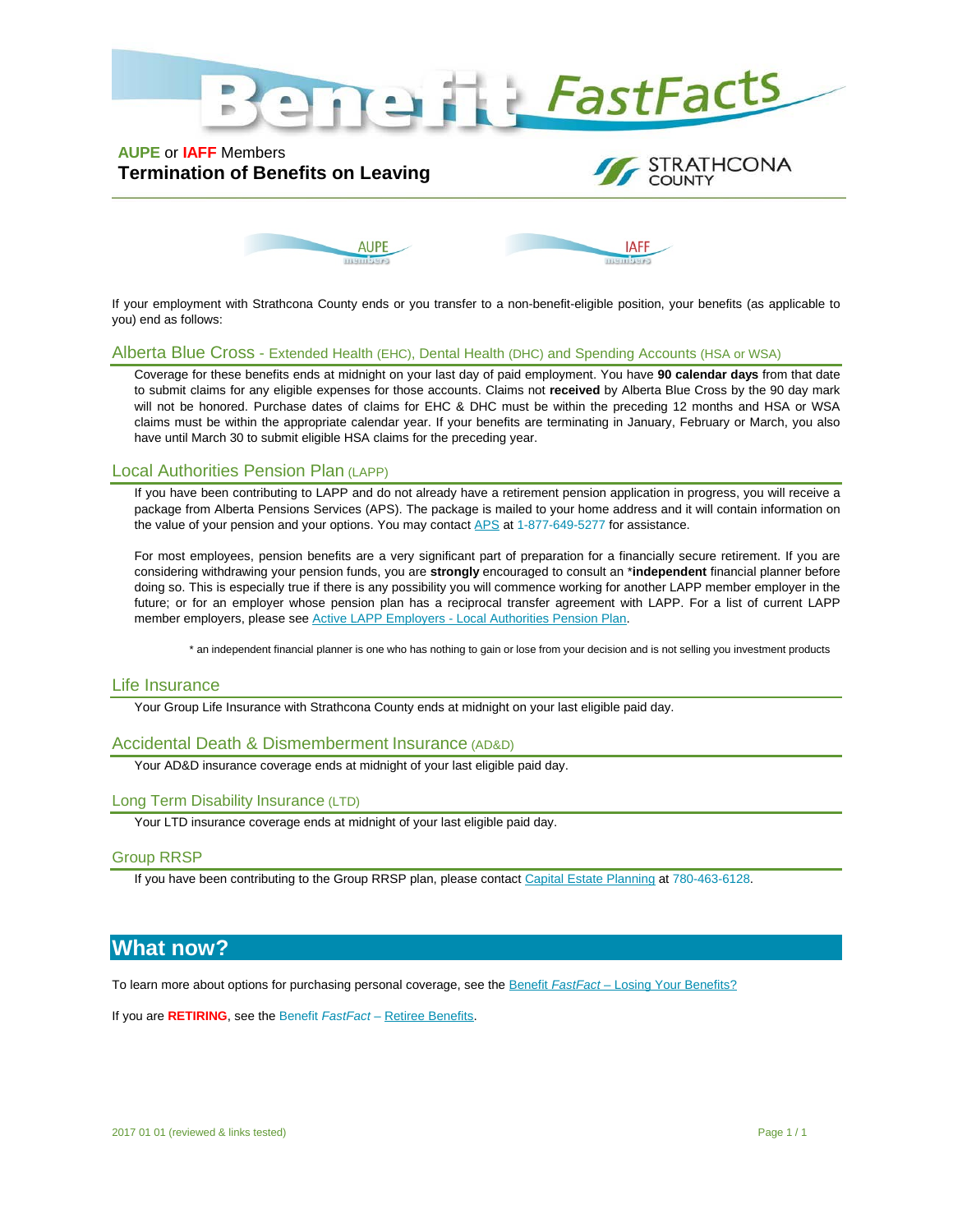

## **AUPE** or **IAFF** Members **Termination of Benefits on Leaving**





If your employment with Strathcona County ends or you transfer to a non-benefit-eligible position, your benefits (as applicable to you) end as follows:

#### Alberta Blue Cross - Extended Health (EHC), Dental Health (DHC) and Spending Accounts (HSA or WSA)

Coverage for these benefits ends at midnight on your last day of paid employment. You have **90 calendar days** from that date to submit claims for any eligible expenses for those accounts. Claims not **received** by Alberta Blue Cross by the 90 day mark will not be honored. Purchase dates of claims for EHC & DHC must be within the preceding 12 months and HSA or WSA claims must be within the appropriate calendar year. If your benefits are terminating in January, February or March, you also have until March 30 to submit eligible HSA claims for the preceding year.

#### Local Authorities Pension Plan (LAPP)

If you have been contributing to LAPP and do not already have a retirement pension application in progress, you will receive a package from Alberta Pensions Services (APS). The package is mailed to your home address and it will contain information on the value of your pension and your options. You may contact [APS](http://www.lapp.ca/contact/#null) at 1-877-649-5277 for assistance.

For most employees, pension benefits are a very significant part of preparation for a financially secure retirement. If you are considering withdrawing your pension funds, you are **strongly** encouraged to consult an \***independent** financial planner before doing so. This is especially true if there is any possibility you will commence working for another LAPP member employer in the future; or for an employer whose pension plan has a reciprocal transfer agreement with LAPP. For a list of current LAPP member employers, please see Active LAPP Employers - [Local Authorities Pension Plan.](http://www.lapp.ca/about/LAPP-employers.jsp)

\* an independent financial planner is one who has nothing to gain or lose from your decision and is not selling you investment products

#### Life Insurance

Your Group Life Insurance with Strathcona County ends at midnight on your last eligible paid day.

#### Accidental Death & Dismemberment Insurance (AD&D)

Your AD&D insurance coverage ends at midnight of your last eligible paid day.

#### Long Term Disability Insurance (LTD)

Your LTD insurance coverage ends at midnight of your last eligible paid day.

#### Group RRSP

If you have been contributing to the Group RRSP plan, please contac[t Capital Estate Planning](http://www.capitalestateplanning.com/) at 780-463-6128.

# **What now?**

To learn more about options for purchasing personal coverage, see the Benefit *FastFact* – [Losing Your Benefits?](https://theinsider.strathcona.ca/resource/bff-losing-your-benefits/)

If you are **RETIRING**, see the Benefit *FastFact* – [Retiree Benefits.](https://theinsider.strathcona.ca/resource/retiree-benefits/)